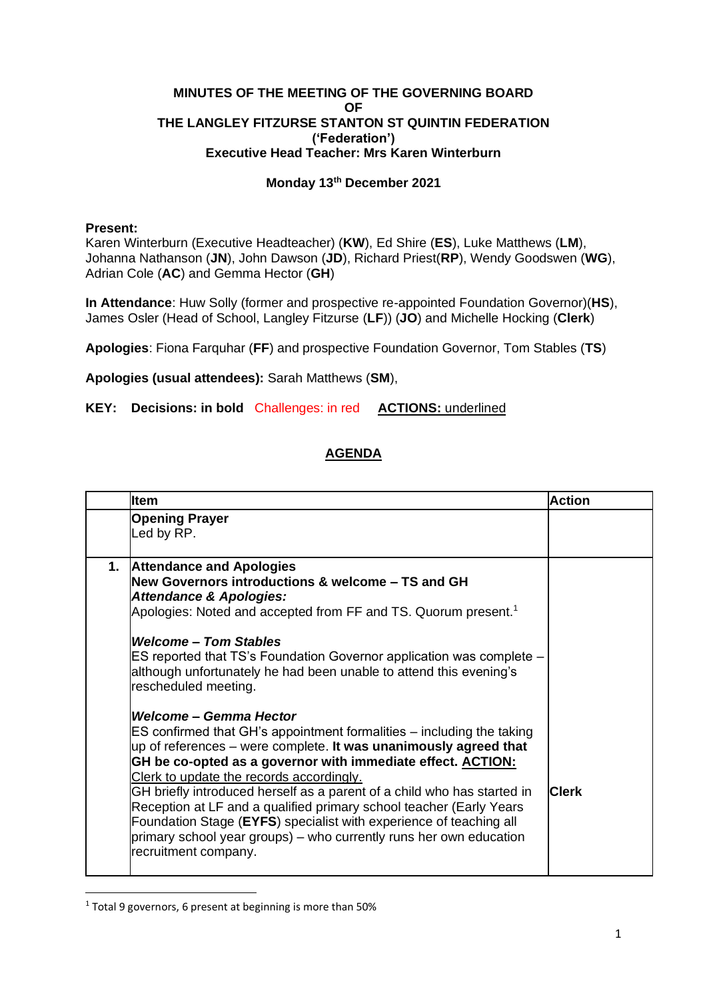## **MINUTES OF THE MEETING OF THE GOVERNING BOARD OF THE LANGLEY FITZURSE STANTON ST QUINTIN FEDERATION ('Federation') Executive Head Teacher: Mrs Karen Winterburn**

## **Monday 13th December 2021**

## **Present:**

Karen Winterburn (Executive Headteacher) (**KW**), Ed Shire (**ES**), Luke Matthews (**LM**), Johanna Nathanson (**JN**), John Dawson (**JD**), Richard Priest(**RP**), Wendy Goodswen (**WG**), Adrian Cole (**AC**) and Gemma Hector (**GH**)

**In Attendance**: Huw Solly (former and prospective re-appointed Foundation Governor)(**HS**), James Osler (Head of School, Langley Fitzurse (**LF**)) (**JO**) and Michelle Hocking (**Clerk**)

**Apologies**: Fiona Farquhar (**FF**) and prospective Foundation Governor, Tom Stables (**TS**)

**Apologies (usual attendees):** Sarah Matthews (**SM**),

**KEY: Decisions: in bold** Challenges: in red **ACTIONS:** underlined

## **AGENDA**

|    | <b>Item</b>                                                                                                                                                                                                                                                                                                                                                                                                                                                                                                                                                                       | <b>Action</b> |
|----|-----------------------------------------------------------------------------------------------------------------------------------------------------------------------------------------------------------------------------------------------------------------------------------------------------------------------------------------------------------------------------------------------------------------------------------------------------------------------------------------------------------------------------------------------------------------------------------|---------------|
|    | <b>Opening Prayer</b><br>Led by RP.                                                                                                                                                                                                                                                                                                                                                                                                                                                                                                                                               |               |
| 1. | <b>Attendance and Apologies</b><br>New Governors introductions & welcome - TS and GH<br><b>Attendance &amp; Apologies:</b><br>Apologies: Noted and accepted from FF and TS. Quorum present. <sup>1</sup><br><b>Welcome - Tom Stables</b><br>ES reported that TS's Foundation Governor application was complete -<br>although unfortunately he had been unable to attend this evening's<br>rescheduled meeting.<br>Welcome – Gemma Hector                                                                                                                                          |               |
|    | ES confirmed that GH's appointment formalities – including the taking<br>up of references - were complete. It was unanimously agreed that<br>GH be co-opted as a governor with immediate effect. <b>ACTION:</b><br>Clerk to update the records accordingly.<br>GH briefly introduced herself as a parent of a child who has started in<br>Reception at LF and a qualified primary school teacher (Early Years<br>Foundation Stage (EYFS) specialist with experience of teaching all<br>primary school year groups) – who currently runs her own education<br>recruitment company. | <b>Clerk</b>  |

 $1$  Total 9 governors, 6 present at beginning is more than 50%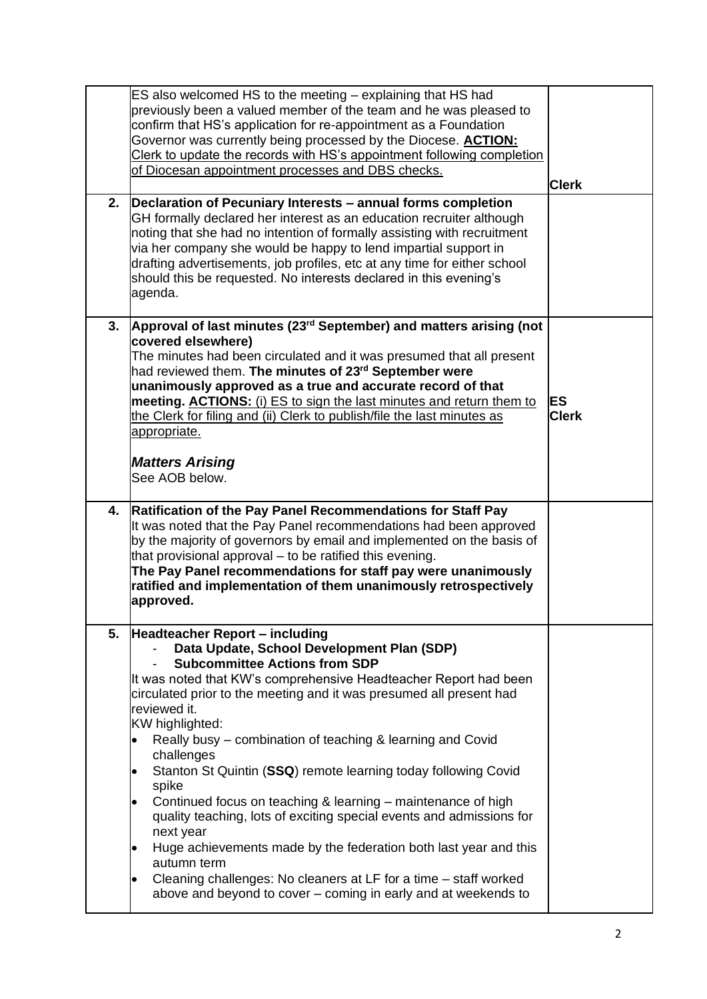|    | ES also welcomed HS to the meeting – explaining that HS had<br>previously been a valued member of the team and he was pleased to<br>confirm that HS's application for re-appointment as a Foundation<br>Governor was currently being processed by the Diocese. <b>ACTION:</b><br>Clerk to update the records with HS's appointment following completion<br>of Diocesan appointment processes and DBS checks.                                                                                                                                                                                                                                                                                                                                                                                                                                        | <b>Clerk</b>       |
|----|-----------------------------------------------------------------------------------------------------------------------------------------------------------------------------------------------------------------------------------------------------------------------------------------------------------------------------------------------------------------------------------------------------------------------------------------------------------------------------------------------------------------------------------------------------------------------------------------------------------------------------------------------------------------------------------------------------------------------------------------------------------------------------------------------------------------------------------------------------|--------------------|
| 2. | Declaration of Pecuniary Interests – annual forms completion<br>GH formally declared her interest as an education recruiter although<br>noting that she had no intention of formally assisting with recruitment<br>via her company she would be happy to lend impartial support in<br>drafting advertisements, job profiles, etc at any time for either school<br>should this be requested. No interests declared in this evening's<br>agenda.                                                                                                                                                                                                                                                                                                                                                                                                      |                    |
| 3. | Approval of last minutes (23 <sup>rd</sup> September) and matters arising (not<br>covered elsewhere)<br>The minutes had been circulated and it was presumed that all present<br>had reviewed them. The minutes of 23 <sup>rd</sup> September were<br>unanimously approved as a true and accurate record of that<br>meeting. ACTIONS: (i) ES to sign the last minutes and return them to<br>the Clerk for filing and (ii) Clerk to publish/file the last minutes as<br>appropriate.<br><b>Matters Arising</b><br>See AOB below.                                                                                                                                                                                                                                                                                                                      | ES<br><b>Clerk</b> |
| 4. | <b>Ratification of the Pay Panel Recommendations for Staff Pay</b><br>It was noted that the Pay Panel recommendations had been approved<br>by the majority of governors by email and implemented on the basis of<br>that provisional approval - to be ratified this evening.<br>The Pay Panel recommendations for staff pay were unanimously<br>ratified and implementation of them unanimously retrospectively<br>approved.                                                                                                                                                                                                                                                                                                                                                                                                                        |                    |
| 5. | <b>Headteacher Report - including</b><br>Data Update, School Development Plan (SDP)<br><b>Subcommittee Actions from SDP</b><br>It was noted that KW's comprehensive Headteacher Report had been<br>circulated prior to the meeting and it was presumed all present had<br>reviewed it.<br>KW highlighted:<br>Really busy – combination of teaching & learning and Covid<br>challenges<br>Stanton St Quintin (SSQ) remote learning today following Covid<br>spike<br>Continued focus on teaching & learning – maintenance of high<br>quality teaching, lots of exciting special events and admissions for<br>next year<br>Huge achievements made by the federation both last year and this<br>٠<br>autumn term<br>Cleaning challenges: No cleaners at LF for a time - staff worked<br>above and beyond to cover – coming in early and at weekends to |                    |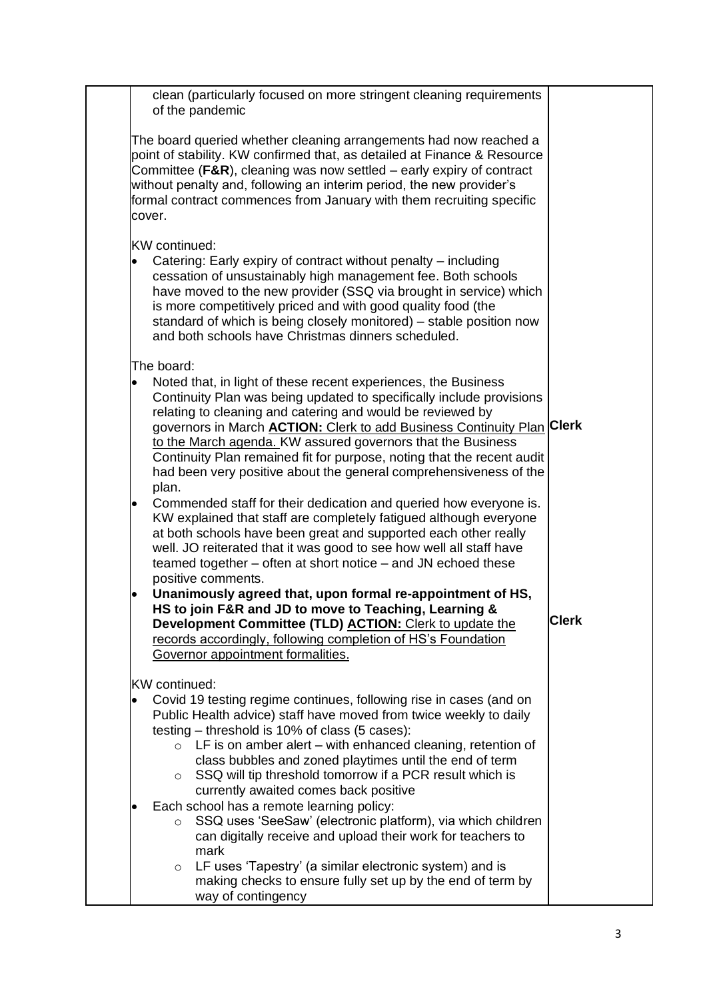| clean (particularly focused on more stringent cleaning requirements<br>of the pandemic                                                                                                                                                                                                                                                                                                                                                                                                                           |              |
|------------------------------------------------------------------------------------------------------------------------------------------------------------------------------------------------------------------------------------------------------------------------------------------------------------------------------------------------------------------------------------------------------------------------------------------------------------------------------------------------------------------|--------------|
| The board queried whether cleaning arrangements had now reached a<br>point of stability. KW confirmed that, as detailed at Finance & Resource<br>Committee ( $F\&R$ ), cleaning was now settled – early expiry of contract<br>without penalty and, following an interim period, the new provider's<br>formal contract commences from January with them recruiting specific<br>cover.                                                                                                                             |              |
| <b>KW</b> continued:                                                                                                                                                                                                                                                                                                                                                                                                                                                                                             |              |
| Catering: Early expiry of contract without penalty – including<br>$\bullet$<br>cessation of unsustainably high management fee. Both schools<br>have moved to the new provider (SSQ via brought in service) which<br>is more competitively priced and with good quality food (the<br>standard of which is being closely monitored) – stable position now<br>and both schools have Christmas dinners scheduled.                                                                                                    |              |
| The board:                                                                                                                                                                                                                                                                                                                                                                                                                                                                                                       |              |
| Noted that, in light of these recent experiences, the Business<br>$\bullet$<br>Continuity Plan was being updated to specifically include provisions<br>relating to cleaning and catering and would be reviewed by<br>governors in March <b>ACTION:</b> Clerk to add Business Continuity Plan Clerk<br>to the March agenda. KW assured governors that the Business<br>Continuity Plan remained fit for purpose, noting that the recent audit<br>had been very positive about the general comprehensiveness of the |              |
| plan.                                                                                                                                                                                                                                                                                                                                                                                                                                                                                                            |              |
| Commended staff for their dedication and queried how everyone is.<br>$\bullet$<br>KW explained that staff are completely fatigued although everyone<br>at both schools have been great and supported each other really<br>well. JO reiterated that it was good to see how well all staff have<br>teamed together – often at short notice – and JN echoed these<br>positive comments.                                                                                                                             |              |
| Unanimously agreed that, upon formal re-appointment of HS,<br>$\bullet$                                                                                                                                                                                                                                                                                                                                                                                                                                          |              |
| HS to join F&R and JD to move to Teaching, Learning &<br>Development Committee (TLD) ACTION: Clerk to update the<br>records accordingly, following completion of HS's Foundation<br>Governor appointment formalities.                                                                                                                                                                                                                                                                                            | <b>Clerk</b> |
| KW continued:                                                                                                                                                                                                                                                                                                                                                                                                                                                                                                    |              |
| Covid 19 testing regime continues, following rise in cases (and on<br>$\bullet$<br>Public Health advice) staff have moved from twice weekly to daily<br>testing – threshold is 10% of class (5 cases):                                                                                                                                                                                                                                                                                                           |              |
| LF is on amber alert $-$ with enhanced cleaning, retention of<br>$\circ$<br>class bubbles and zoned playtimes until the end of term<br>SSQ will tip threshold tomorrow if a PCR result which is<br>$\circ$<br>currently awaited comes back positive                                                                                                                                                                                                                                                              |              |
| Each school has a remote learning policy:<br>$\bullet$<br>SSQ uses 'SeeSaw' (electronic platform), via which children<br>$\circ$<br>can digitally receive and upload their work for teachers to                                                                                                                                                                                                                                                                                                                  |              |
| mark                                                                                                                                                                                                                                                                                                                                                                                                                                                                                                             |              |
| LF uses 'Tapestry' (a similar electronic system) and is<br>$\circ$<br>making checks to ensure fully set up by the end of term by<br>way of contingency                                                                                                                                                                                                                                                                                                                                                           |              |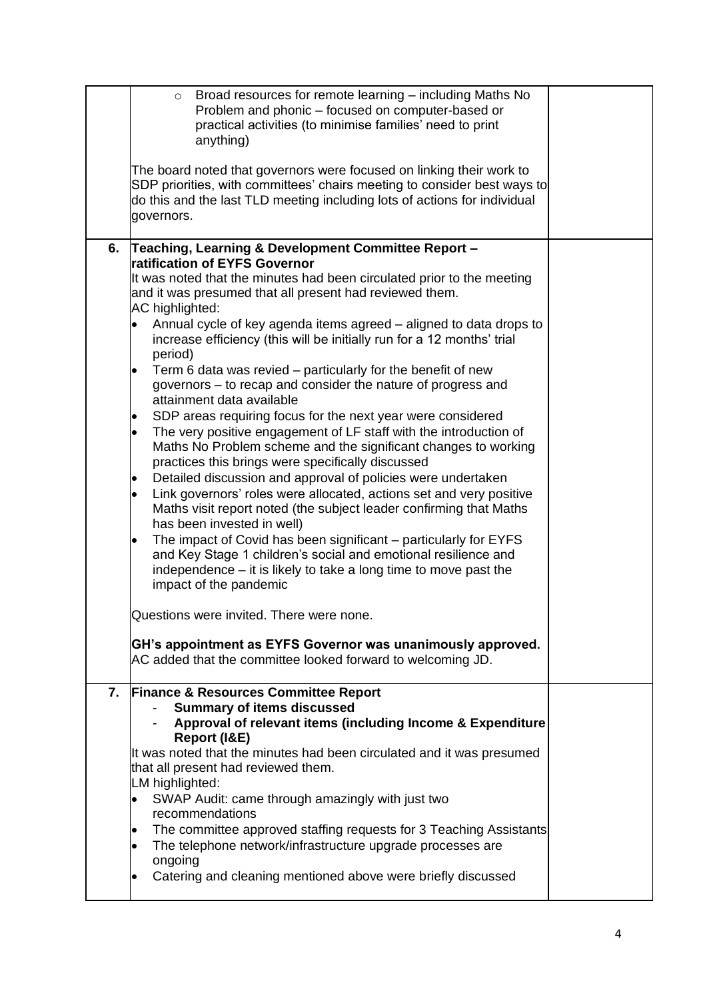|    | Broad resources for remote learning - including Maths No<br>$\circ$<br>Problem and phonic - focused on computer-based or<br>practical activities (to minimise families' need to print<br>anything)<br>The board noted that governors were focused on linking their work to<br>SDP priorities, with committees' chairs meeting to consider best ways to<br>do this and the last TLD meeting including lots of actions for individual<br>governors. |  |
|----|---------------------------------------------------------------------------------------------------------------------------------------------------------------------------------------------------------------------------------------------------------------------------------------------------------------------------------------------------------------------------------------------------------------------------------------------------|--|
| 6. | Teaching, Learning & Development Committee Report -                                                                                                                                                                                                                                                                                                                                                                                               |  |
|    | <b>ratification of EYFS Governor</b><br>It was noted that the minutes had been circulated prior to the meeting                                                                                                                                                                                                                                                                                                                                    |  |
|    | and it was presumed that all present had reviewed them.                                                                                                                                                                                                                                                                                                                                                                                           |  |
|    | AC highlighted:                                                                                                                                                                                                                                                                                                                                                                                                                                   |  |
|    | Annual cycle of key agenda items agreed - aligned to data drops to<br>increase efficiency (this will be initially run for a 12 months' trial<br>period)                                                                                                                                                                                                                                                                                           |  |
|    | Term 6 data was revied – particularly for the benefit of new<br>٠                                                                                                                                                                                                                                                                                                                                                                                 |  |
|    | governors - to recap and consider the nature of progress and                                                                                                                                                                                                                                                                                                                                                                                      |  |
|    | attainment data available<br>SDP areas requiring focus for the next year were considered<br>$\bullet$                                                                                                                                                                                                                                                                                                                                             |  |
|    | The very positive engagement of LF staff with the introduction of<br>$\bullet$                                                                                                                                                                                                                                                                                                                                                                    |  |
|    | Maths No Problem scheme and the significant changes to working                                                                                                                                                                                                                                                                                                                                                                                    |  |
|    | practices this brings were specifically discussed<br>Detailed discussion and approval of policies were undertaken                                                                                                                                                                                                                                                                                                                                 |  |
|    | $\bullet$<br>Link governors' roles were allocated, actions set and very positive<br>$\bullet$                                                                                                                                                                                                                                                                                                                                                     |  |
|    | Maths visit report noted (the subject leader confirming that Maths                                                                                                                                                                                                                                                                                                                                                                                |  |
|    | has been invested in well)                                                                                                                                                                                                                                                                                                                                                                                                                        |  |
|    | The impact of Covid has been significant - particularly for EYFS<br>and Key Stage 1 children's social and emotional resilience and                                                                                                                                                                                                                                                                                                                |  |
|    | independence – it is likely to take a long time to move past the                                                                                                                                                                                                                                                                                                                                                                                  |  |
|    | impact of the pandemic                                                                                                                                                                                                                                                                                                                                                                                                                            |  |
|    | Questions were invited. There were none                                                                                                                                                                                                                                                                                                                                                                                                           |  |
|    | GH's appointment as EYFS Governor was unanimously approved.                                                                                                                                                                                                                                                                                                                                                                                       |  |
|    | AC added that the committee looked forward to welcoming JD.                                                                                                                                                                                                                                                                                                                                                                                       |  |
| 7. | <b>Finance &amp; Resources Committee Report</b>                                                                                                                                                                                                                                                                                                                                                                                                   |  |
|    | <b>Summary of items discussed</b>                                                                                                                                                                                                                                                                                                                                                                                                                 |  |
|    | Approval of relevant items (including Income & Expenditure                                                                                                                                                                                                                                                                                                                                                                                        |  |
|    | Report (I&E)<br>It was noted that the minutes had been circulated and it was presumed                                                                                                                                                                                                                                                                                                                                                             |  |
|    | that all present had reviewed them.                                                                                                                                                                                                                                                                                                                                                                                                               |  |
|    | LM highlighted:                                                                                                                                                                                                                                                                                                                                                                                                                                   |  |
|    | SWAP Audit: came through amazingly with just two<br>$\bullet$                                                                                                                                                                                                                                                                                                                                                                                     |  |
|    | recommendations<br>The committee approved staffing requests for 3 Teaching Assistants                                                                                                                                                                                                                                                                                                                                                             |  |
|    | The telephone network/infrastructure upgrade processes are<br>٠                                                                                                                                                                                                                                                                                                                                                                                   |  |
|    | ongoing                                                                                                                                                                                                                                                                                                                                                                                                                                           |  |
|    | Catering and cleaning mentioned above were briefly discussed                                                                                                                                                                                                                                                                                                                                                                                      |  |
|    |                                                                                                                                                                                                                                                                                                                                                                                                                                                   |  |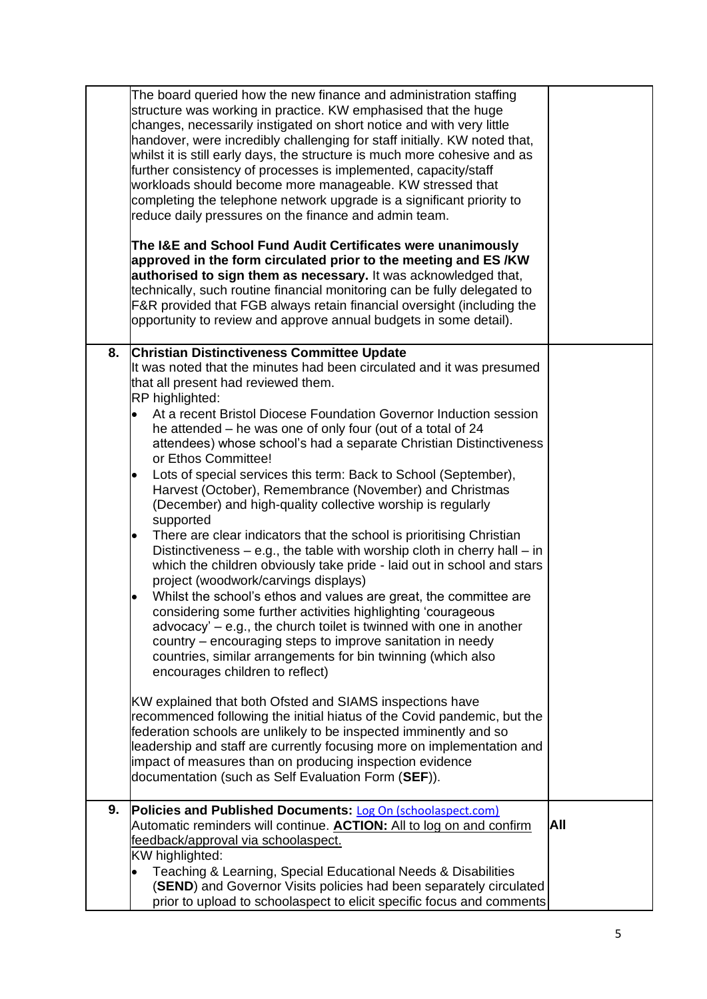|    | The board queried how the new finance and administration staffing<br>structure was working in practice. KW emphasised that the huge<br>changes, necessarily instigated on short notice and with very little<br>handover, were incredibly challenging for staff initially. KW noted that,<br>whilst it is still early days, the structure is much more cohesive and as<br>further consistency of processes is implemented, capacity/staff<br>workloads should become more manageable. KW stressed that<br>completing the telephone network upgrade is a significant priority to<br>reduce daily pressures on the finance and admin team.<br>The I&E and School Fund Audit Certificates were unanimously<br>approved in the form circulated prior to the meeting and ES /KW<br>authorised to sign them as necessary. It was acknowledged that,<br>technically, such routine financial monitoring can be fully delegated to<br>F&R provided that FGB always retain financial oversight (including the<br>opportunity to review and approve annual budgets in some detail).                                                                                                                                                                                                                                                |     |
|----|------------------------------------------------------------------------------------------------------------------------------------------------------------------------------------------------------------------------------------------------------------------------------------------------------------------------------------------------------------------------------------------------------------------------------------------------------------------------------------------------------------------------------------------------------------------------------------------------------------------------------------------------------------------------------------------------------------------------------------------------------------------------------------------------------------------------------------------------------------------------------------------------------------------------------------------------------------------------------------------------------------------------------------------------------------------------------------------------------------------------------------------------------------------------------------------------------------------------------------------------------------------------------------------------------------------------|-----|
|    |                                                                                                                                                                                                                                                                                                                                                                                                                                                                                                                                                                                                                                                                                                                                                                                                                                                                                                                                                                                                                                                                                                                                                                                                                                                                                                                        |     |
| 8. | <b>Christian Distinctiveness Committee Update</b><br>It was noted that the minutes had been circulated and it was presumed<br>that all present had reviewed them.<br>RP highlighted:<br>At a recent Bristol Diocese Foundation Governor Induction session<br>$\bullet$<br>he attended - he was one of only four (out of a total of 24<br>attendees) whose school's had a separate Christian Distinctiveness<br>or Ethos Committee!<br>Lots of special services this term: Back to School (September),<br>Harvest (October), Remembrance (November) and Christmas<br>(December) and high-quality collective worship is regularly<br>supported<br>There are clear indicators that the school is prioritising Christian<br>$\bullet$<br>Distinctiveness $-$ e.g., the table with worship cloth in cherry hall $-$ in<br>which the children obviously take pride - laid out in school and stars<br>project (woodwork/carvings displays)<br>Whilst the school's ethos and values are great, the committee are<br>٠<br>considering some further activities highlighting 'courageous<br>advocacy' $-$ e.g., the church toilet is twinned with one in another<br>country – encouraging steps to improve sanitation in needy<br>countries, similar arrangements for bin twinning (which also<br>encourages children to reflect) |     |
|    | KW explained that both Ofsted and SIAMS inspections have<br>recommenced following the initial hiatus of the Covid pandemic, but the<br>federation schools are unlikely to be inspected imminently and so<br>leadership and staff are currently focusing more on implementation and<br>impact of measures than on producing inspection evidence<br>documentation (such as Self Evaluation Form (SEF)).                                                                                                                                                                                                                                                                                                                                                                                                                                                                                                                                                                                                                                                                                                                                                                                                                                                                                                                  |     |
|    |                                                                                                                                                                                                                                                                                                                                                                                                                                                                                                                                                                                                                                                                                                                                                                                                                                                                                                                                                                                                                                                                                                                                                                                                                                                                                                                        |     |
| 9. | Policies and Published Documents: Log On (schoolaspect.com)<br>Automatic reminders will continue. <b>ACTION:</b> All to log on and confirm<br>feedback/approval via schoolaspect.<br>KW highlighted:<br>Teaching & Learning, Special Educational Needs & Disabilities                                                                                                                                                                                                                                                                                                                                                                                                                                                                                                                                                                                                                                                                                                                                                                                                                                                                                                                                                                                                                                                  | All |
|    | (SEND) and Governor Visits policies had been separately circulated<br>prior to upload to schoolaspect to elicit specific focus and comments                                                                                                                                                                                                                                                                                                                                                                                                                                                                                                                                                                                                                                                                                                                                                                                                                                                                                                                                                                                                                                                                                                                                                                            |     |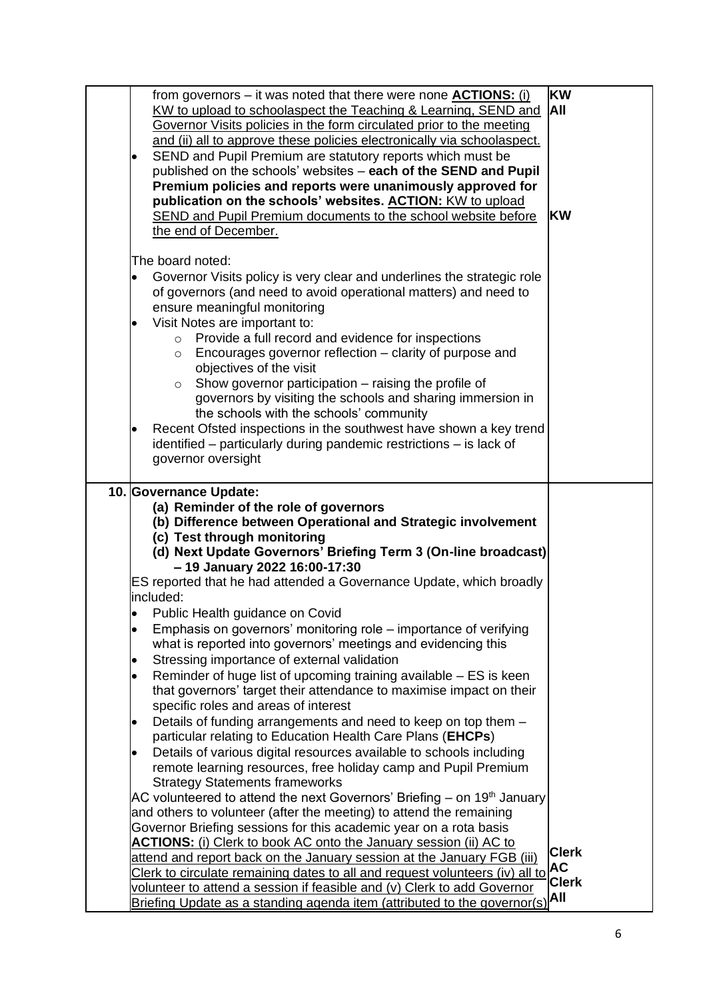| from governors - it was noted that there were none <b>ACTIONS:</b> (i)<br>KW to upload to schoolaspect the Teaching & Learning, SEND and<br>Governor Visits policies in the form circulated prior to the meeting<br>and (ii) all to approve these policies electronically via schoolaspect.<br>SEND and Pupil Premium are statutory reports which must be<br>٠<br>published on the schools' websites - each of the SEND and Pupil<br>Premium policies and reports were unanimously approved for<br>publication on the schools' websites. ACTION: KW to upload<br>SEND and Pupil Premium documents to the school website before<br>the end of December.                                                                                                                                                                                                                                                                                                                                                                                                                                                                                                                                                                                                                                                                                                                                                                                                                                                                                                                                                                                                                                                                                                 | <b>KW</b><br>All<br><b>KW</b>                    |
|--------------------------------------------------------------------------------------------------------------------------------------------------------------------------------------------------------------------------------------------------------------------------------------------------------------------------------------------------------------------------------------------------------------------------------------------------------------------------------------------------------------------------------------------------------------------------------------------------------------------------------------------------------------------------------------------------------------------------------------------------------------------------------------------------------------------------------------------------------------------------------------------------------------------------------------------------------------------------------------------------------------------------------------------------------------------------------------------------------------------------------------------------------------------------------------------------------------------------------------------------------------------------------------------------------------------------------------------------------------------------------------------------------------------------------------------------------------------------------------------------------------------------------------------------------------------------------------------------------------------------------------------------------------------------------------------------------------------------------------------------------|--------------------------------------------------|
| The board noted:<br>Governor Visits policy is very clear and underlines the strategic role<br>of governors (and need to avoid operational matters) and need to<br>ensure meaningful monitoring<br>Visit Notes are important to:<br>$\bullet$<br>Provide a full record and evidence for inspections<br>$\circ$<br>Encourages governor reflection - clarity of purpose and<br>$\circ$<br>objectives of the visit<br>Show governor participation - raising the profile of<br>$\circ$<br>governors by visiting the schools and sharing immersion in<br>the schools with the schools' community<br>Recent Ofsted inspections in the southwest have shown a key trend<br>identified – particularly during pandemic restrictions – is lack of<br>governor oversight                                                                                                                                                                                                                                                                                                                                                                                                                                                                                                                                                                                                                                                                                                                                                                                                                                                                                                                                                                                           |                                                  |
| 10. Governance Update:<br>(a) Reminder of the role of governors<br>(b) Difference between Operational and Strategic involvement<br>(c) Test through monitoring<br>(d) Next Update Governors' Briefing Term 3 (On-line broadcast)<br>- 19 January 2022 16:00-17:30<br>ES reported that he had attended a Governance Update, which broadly<br>included:<br>Public Health guidance on Covid<br>$\bullet$<br>Emphasis on governors' monitoring role – importance of verifying<br>$\bullet$<br>what is reported into governors' meetings and evidencing this<br>Stressing importance of external validation<br>Reminder of huge list of upcoming training available – ES is keen<br>٠<br>that governors' target their attendance to maximise impact on their<br>specific roles and areas of interest<br>Details of funding arrangements and need to keep on top them -<br>٠<br>particular relating to Education Health Care Plans (EHCPs)<br>Details of various digital resources available to schools including<br>remote learning resources, free holiday camp and Pupil Premium<br><b>Strategy Statements frameworks</b><br>AC volunteered to attend the next Governors' Briefing – on 19 <sup>th</sup> January<br>and others to volunteer (after the meeting) to attend the remaining<br>Governor Briefing sessions for this academic year on a rota basis<br><b>ACTIONS:</b> (i) Clerk to book AC onto the January session (ii) AC to<br>attend and report back on the January session at the January FGB (iii)<br>Clerk to circulate remaining dates to all and request volunteers (iv) all to<br>volunteer to attend a session if feasible and (v) Clerk to add Governor<br>Briefing Update as a standing agenda item (attributed to the governor(s) | <b>Clerk</b><br><b>AC</b><br><b>Clerk</b><br>All |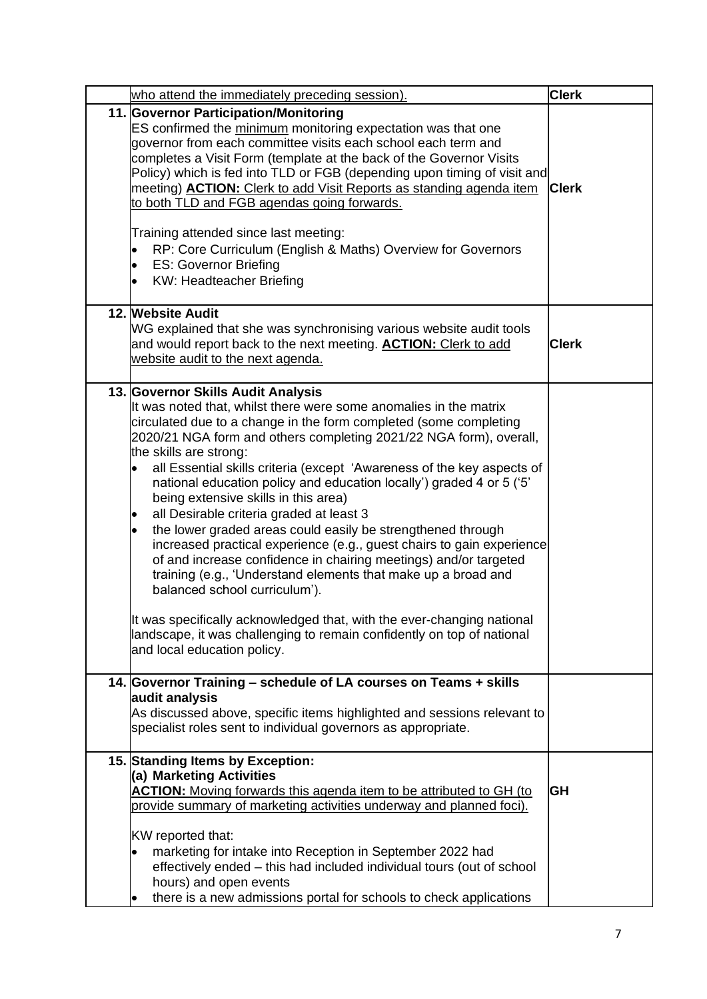|  | who attend the immediately preceding session).                                                                                                                                                                                                                                                                                                                                                                                                                                                                                                                                                                                                                                                                                                                                                                                                                                                                                                                                                                                                | <b>Clerk</b> |
|--|-----------------------------------------------------------------------------------------------------------------------------------------------------------------------------------------------------------------------------------------------------------------------------------------------------------------------------------------------------------------------------------------------------------------------------------------------------------------------------------------------------------------------------------------------------------------------------------------------------------------------------------------------------------------------------------------------------------------------------------------------------------------------------------------------------------------------------------------------------------------------------------------------------------------------------------------------------------------------------------------------------------------------------------------------|--------------|
|  | 11. Governor Participation/Monitoring<br>ES confirmed the minimum monitoring expectation was that one<br>governor from each committee visits each school each term and<br>completes a Visit Form (template at the back of the Governor Visits<br>Policy) which is fed into TLD or FGB (depending upon timing of visit and<br>meeting) <b>ACTION:</b> Clerk to add Visit Reports as standing agenda item<br>to both TLD and FGB agendas going forwards.<br>Training attended since last meeting:<br>RP: Core Curriculum (English & Maths) Overview for Governors<br>٠<br><b>ES: Governor Briefing</b><br>$\bullet$<br><b>KW: Headteacher Briefing</b><br>$\bullet$                                                                                                                                                                                                                                                                                                                                                                             | <b>Clerk</b> |
|  | 12. Website Audit<br>WG explained that she was synchronising various website audit tools<br>and would report back to the next meeting. <b>ACTION:</b> Clerk to add<br>website audit to the next agenda.                                                                                                                                                                                                                                                                                                                                                                                                                                                                                                                                                                                                                                                                                                                                                                                                                                       | <b>Clerk</b> |
|  | 13. Governor Skills Audit Analysis<br>It was noted that, whilst there were some anomalies in the matrix<br>circulated due to a change in the form completed (some completing<br>2020/21 NGA form and others completing 2021/22 NGA form), overall,<br>the skills are strong:<br>all Essential skills criteria (except 'Awareness of the key aspects of<br>national education policy and education locally') graded 4 or 5 ('5'<br>being extensive skills in this area)<br>all Desirable criteria graded at least 3<br>$\bullet$<br>the lower graded areas could easily be strengthened through<br>$\bullet$<br>increased practical experience (e.g., guest chairs to gain experience<br>of and increase confidence in chairing meetings) and/or targeted<br>training (e.g., 'Understand elements that make up a broad and<br>balanced school curriculum').<br>It was specifically acknowledged that, with the ever-changing national<br>landscape, it was challenging to remain confidently on top of national<br>and local education policy. |              |
|  | 14. Governor Training - schedule of LA courses on Teams + skills<br>audit analysis<br>As discussed above, specific items highlighted and sessions relevant to<br>specialist roles sent to individual governors as appropriate.                                                                                                                                                                                                                                                                                                                                                                                                                                                                                                                                                                                                                                                                                                                                                                                                                |              |
|  | 15. Standing Items by Exception:<br>(a) Marketing Activities<br><b>ACTION:</b> Moving forwards this agenda item to be attributed to GH (to<br>provide summary of marketing activities underway and planned foci).<br>KW reported that:<br>marketing for intake into Reception in September 2022 had<br>$\bullet$<br>effectively ended - this had included individual tours (out of school<br>hours) and open events                                                                                                                                                                                                                                                                                                                                                                                                                                                                                                                                                                                                                           | GH           |
|  | there is a new admissions portal for schools to check applications                                                                                                                                                                                                                                                                                                                                                                                                                                                                                                                                                                                                                                                                                                                                                                                                                                                                                                                                                                            |              |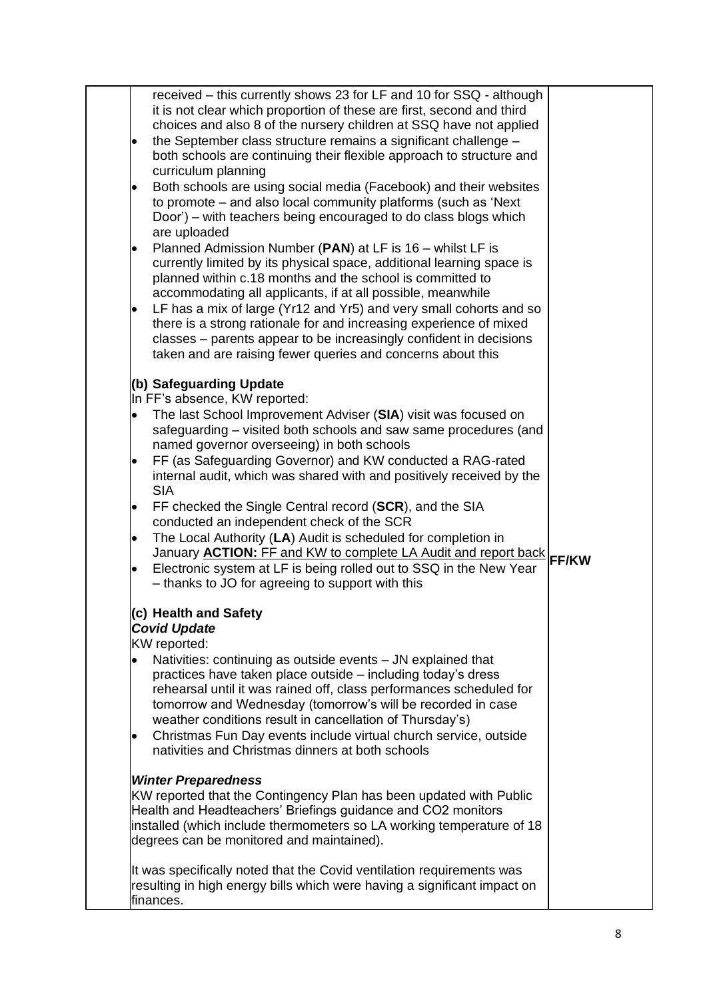|           | received – this currently shows 23 for LF and 10 for SSQ - although<br>it is not clear which proportion of these are first, second and third |  |
|-----------|----------------------------------------------------------------------------------------------------------------------------------------------|--|
|           | choices and also 8 of the nursery children at SSQ have not applied                                                                           |  |
|           | the September class structure remains a significant challenge -                                                                              |  |
|           | both schools are continuing their flexible approach to structure and                                                                         |  |
|           | curriculum planning                                                                                                                          |  |
|           | Both schools are using social media (Facebook) and their websites                                                                            |  |
|           | to promote – and also local community platforms (such as 'Next                                                                               |  |
|           | Door') – with teachers being encouraged to do class blogs which<br>are uploaded                                                              |  |
|           | Planned Admission Number (PAN) at LF is 16 - whilst LF is                                                                                    |  |
|           | currently limited by its physical space, additional learning space is                                                                        |  |
|           | planned within c.18 months and the school is committed to                                                                                    |  |
|           | accommodating all applicants, if at all possible, meanwhile                                                                                  |  |
|           | LF has a mix of large (Yr12 and Yr5) and very small cohorts and so                                                                           |  |
|           | there is a strong rationale for and increasing experience of mixed                                                                           |  |
|           | classes – parents appear to be increasingly confident in decisions                                                                           |  |
|           | taken and are raising fewer queries and concerns about this                                                                                  |  |
|           | (b) Safeguarding Update                                                                                                                      |  |
|           | In FF's absence, KW reported:                                                                                                                |  |
| $\bullet$ | The last School Improvement Adviser (SIA) visit was focused on                                                                               |  |
|           | safeguarding – visited both schools and saw same procedures (and                                                                             |  |
|           | named governor overseeing) in both schools                                                                                                   |  |
|           | FF (as Safeguarding Governor) and KW conducted a RAG-rated                                                                                   |  |
|           | internal audit, which was shared with and positively received by the                                                                         |  |
|           | <b>SIA</b>                                                                                                                                   |  |
| ٠         | FF checked the Single Central record (SCR), and the SIA<br>conducted an independent check of the SCR                                         |  |
|           | The Local Authority (LA) Audit is scheduled for completion in                                                                                |  |
|           | January <b>ACTION:</b> FF and KW to complete LA Audit and report back <b>FF/KW</b>                                                           |  |
|           | Electronic system at LF is being rolled out to SSQ in the New Year                                                                           |  |
|           | - thanks to JO for agreeing to support with this                                                                                             |  |
|           | (c) Health and Safety                                                                                                                        |  |
|           | <b>Covid Update</b>                                                                                                                          |  |
|           | KW reported:                                                                                                                                 |  |
|           | Nativities: continuing as outside events - JN explained that                                                                                 |  |
|           | practices have taken place outside - including today's dress                                                                                 |  |
|           | rehearsal until it was rained off, class performances scheduled for                                                                          |  |
|           | tomorrow and Wednesday (tomorrow's will be recorded in case<br>weather conditions result in cancellation of Thursday's)                      |  |
|           | Christmas Fun Day events include virtual church service, outside                                                                             |  |
|           | nativities and Christmas dinners at both schools                                                                                             |  |
|           |                                                                                                                                              |  |
|           | <b>Winter Preparedness</b>                                                                                                                   |  |
|           | KW reported that the Contingency Plan has been updated with Public                                                                           |  |
|           | Health and Headteachers' Briefings guidance and CO2 monitors                                                                                 |  |
|           | installed (which include thermometers so LA working temperature of 18<br>degrees can be monitored and maintained).                           |  |
|           |                                                                                                                                              |  |
|           | It was specifically noted that the Covid ventilation requirements was                                                                        |  |
|           | resulting in high energy bills which were having a significant impact on                                                                     |  |
|           | finances.                                                                                                                                    |  |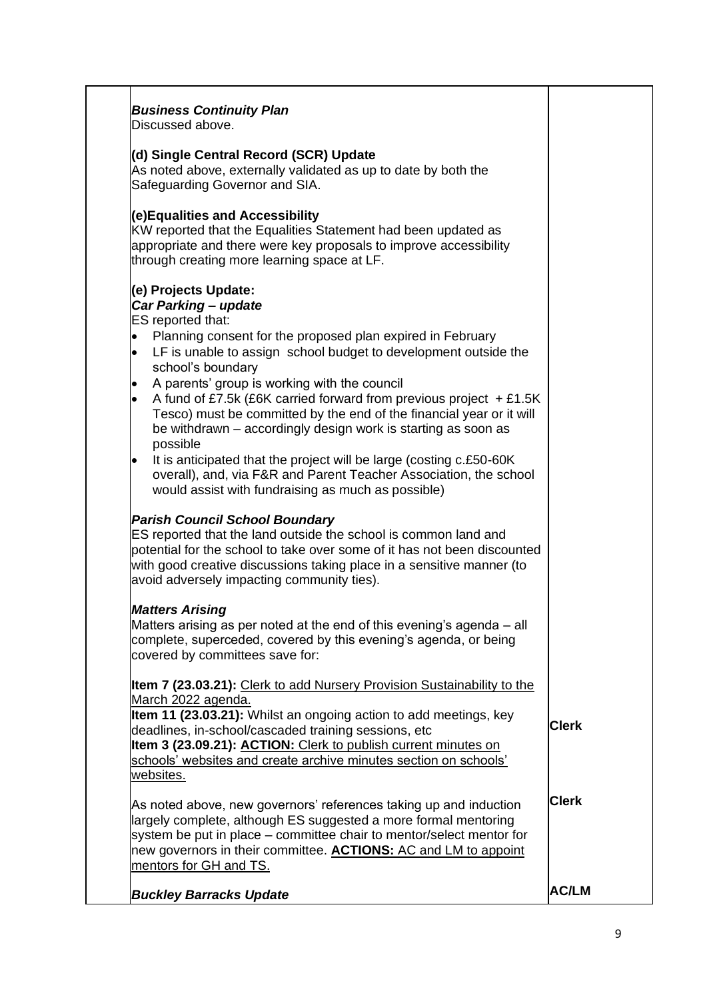| Discussed above.<br>(d) Single Central Record (SCR) Update<br>As noted above, externally validated as up to date by both the<br>Safeguarding Governor and SIA.<br>(e)Equalities and Accessibility<br>KW reported that the Equalities Statement had been updated as<br>appropriate and there were key proposals to improve accessibility<br>through creating more learning space at LF.<br>(e) Projects Update:<br>Car Parking - update<br>ES reported that:<br>Planning consent for the proposed plan expired in February<br>$\bullet$<br>LF is unable to assign school budget to development outside the<br>$\bullet$<br>school's boundary<br>A parents' group is working with the council<br>A fund of £7.5k (£6K carried forward from previous project $+£1.5K$<br>Tesco) must be committed by the end of the financial year or it will<br>be withdrawn – accordingly design work is starting as soon as<br>possible<br>It is anticipated that the project will be large (costing c.£50-60K)<br>$\bullet$<br>overall), and, via F&R and Parent Teacher Association, the school<br>would assist with fundraising as much as possible)<br><b>Parish Council School Boundary</b><br>ES reported that the land outside the school is common land and<br>potential for the school to take over some of it has not been discounted<br>with good creative discussions taking place in a sensitive manner (to<br>avoid adversely impacting community ties).<br><b>Matters Arising</b><br>Matters arising as per noted at the end of this evening's agenda – all<br>complete, superceded, covered by this evening's agenda, or being<br>covered by committees save for:<br>Item 7 (23.03.21): Clerk to add Nursery Provision Sustainability to the |              |
|----------------------------------------------------------------------------------------------------------------------------------------------------------------------------------------------------------------------------------------------------------------------------------------------------------------------------------------------------------------------------------------------------------------------------------------------------------------------------------------------------------------------------------------------------------------------------------------------------------------------------------------------------------------------------------------------------------------------------------------------------------------------------------------------------------------------------------------------------------------------------------------------------------------------------------------------------------------------------------------------------------------------------------------------------------------------------------------------------------------------------------------------------------------------------------------------------------------------------------------------------------------------------------------------------------------------------------------------------------------------------------------------------------------------------------------------------------------------------------------------------------------------------------------------------------------------------------------------------------------------------------------------------------------------------------------------------------------------------------------------|--------------|
|                                                                                                                                                                                                                                                                                                                                                                                                                                                                                                                                                                                                                                                                                                                                                                                                                                                                                                                                                                                                                                                                                                                                                                                                                                                                                                                                                                                                                                                                                                                                                                                                                                                                                                                                              |              |
|                                                                                                                                                                                                                                                                                                                                                                                                                                                                                                                                                                                                                                                                                                                                                                                                                                                                                                                                                                                                                                                                                                                                                                                                                                                                                                                                                                                                                                                                                                                                                                                                                                                                                                                                              |              |
|                                                                                                                                                                                                                                                                                                                                                                                                                                                                                                                                                                                                                                                                                                                                                                                                                                                                                                                                                                                                                                                                                                                                                                                                                                                                                                                                                                                                                                                                                                                                                                                                                                                                                                                                              |              |
|                                                                                                                                                                                                                                                                                                                                                                                                                                                                                                                                                                                                                                                                                                                                                                                                                                                                                                                                                                                                                                                                                                                                                                                                                                                                                                                                                                                                                                                                                                                                                                                                                                                                                                                                              |              |
|                                                                                                                                                                                                                                                                                                                                                                                                                                                                                                                                                                                                                                                                                                                                                                                                                                                                                                                                                                                                                                                                                                                                                                                                                                                                                                                                                                                                                                                                                                                                                                                                                                                                                                                                              |              |
|                                                                                                                                                                                                                                                                                                                                                                                                                                                                                                                                                                                                                                                                                                                                                                                                                                                                                                                                                                                                                                                                                                                                                                                                                                                                                                                                                                                                                                                                                                                                                                                                                                                                                                                                              |              |
|                                                                                                                                                                                                                                                                                                                                                                                                                                                                                                                                                                                                                                                                                                                                                                                                                                                                                                                                                                                                                                                                                                                                                                                                                                                                                                                                                                                                                                                                                                                                                                                                                                                                                                                                              |              |
|                                                                                                                                                                                                                                                                                                                                                                                                                                                                                                                                                                                                                                                                                                                                                                                                                                                                                                                                                                                                                                                                                                                                                                                                                                                                                                                                                                                                                                                                                                                                                                                                                                                                                                                                              |              |
|                                                                                                                                                                                                                                                                                                                                                                                                                                                                                                                                                                                                                                                                                                                                                                                                                                                                                                                                                                                                                                                                                                                                                                                                                                                                                                                                                                                                                                                                                                                                                                                                                                                                                                                                              |              |
|                                                                                                                                                                                                                                                                                                                                                                                                                                                                                                                                                                                                                                                                                                                                                                                                                                                                                                                                                                                                                                                                                                                                                                                                                                                                                                                                                                                                                                                                                                                                                                                                                                                                                                                                              |              |
|                                                                                                                                                                                                                                                                                                                                                                                                                                                                                                                                                                                                                                                                                                                                                                                                                                                                                                                                                                                                                                                                                                                                                                                                                                                                                                                                                                                                                                                                                                                                                                                                                                                                                                                                              |              |
|                                                                                                                                                                                                                                                                                                                                                                                                                                                                                                                                                                                                                                                                                                                                                                                                                                                                                                                                                                                                                                                                                                                                                                                                                                                                                                                                                                                                                                                                                                                                                                                                                                                                                                                                              |              |
|                                                                                                                                                                                                                                                                                                                                                                                                                                                                                                                                                                                                                                                                                                                                                                                                                                                                                                                                                                                                                                                                                                                                                                                                                                                                                                                                                                                                                                                                                                                                                                                                                                                                                                                                              |              |
|                                                                                                                                                                                                                                                                                                                                                                                                                                                                                                                                                                                                                                                                                                                                                                                                                                                                                                                                                                                                                                                                                                                                                                                                                                                                                                                                                                                                                                                                                                                                                                                                                                                                                                                                              |              |
|                                                                                                                                                                                                                                                                                                                                                                                                                                                                                                                                                                                                                                                                                                                                                                                                                                                                                                                                                                                                                                                                                                                                                                                                                                                                                                                                                                                                                                                                                                                                                                                                                                                                                                                                              |              |
|                                                                                                                                                                                                                                                                                                                                                                                                                                                                                                                                                                                                                                                                                                                                                                                                                                                                                                                                                                                                                                                                                                                                                                                                                                                                                                                                                                                                                                                                                                                                                                                                                                                                                                                                              |              |
| March 2022 agenda.                                                                                                                                                                                                                                                                                                                                                                                                                                                                                                                                                                                                                                                                                                                                                                                                                                                                                                                                                                                                                                                                                                                                                                                                                                                                                                                                                                                                                                                                                                                                                                                                                                                                                                                           |              |
| Item 11 (23.03.21): Whilst an ongoing action to add meetings, key                                                                                                                                                                                                                                                                                                                                                                                                                                                                                                                                                                                                                                                                                                                                                                                                                                                                                                                                                                                                                                                                                                                                                                                                                                                                                                                                                                                                                                                                                                                                                                                                                                                                            |              |
| deadlines, in-school/cascaded training sessions, etc                                                                                                                                                                                                                                                                                                                                                                                                                                                                                                                                                                                                                                                                                                                                                                                                                                                                                                                                                                                                                                                                                                                                                                                                                                                                                                                                                                                                                                                                                                                                                                                                                                                                                         | <b>Clerk</b> |
| Item 3 (23.09.21): ACTION: Clerk to publish current minutes on                                                                                                                                                                                                                                                                                                                                                                                                                                                                                                                                                                                                                                                                                                                                                                                                                                                                                                                                                                                                                                                                                                                                                                                                                                                                                                                                                                                                                                                                                                                                                                                                                                                                               |              |
| schools' websites and create archive minutes section on schools'<br>websites.                                                                                                                                                                                                                                                                                                                                                                                                                                                                                                                                                                                                                                                                                                                                                                                                                                                                                                                                                                                                                                                                                                                                                                                                                                                                                                                                                                                                                                                                                                                                                                                                                                                                |              |
|                                                                                                                                                                                                                                                                                                                                                                                                                                                                                                                                                                                                                                                                                                                                                                                                                                                                                                                                                                                                                                                                                                                                                                                                                                                                                                                                                                                                                                                                                                                                                                                                                                                                                                                                              |              |
| As noted above, new governors' references taking up and induction<br>largely complete, although ES suggested a more formal mentoring<br>system be put in place – committee chair to mentor/select mentor for<br>new governors in their committee. <b>ACTIONS:</b> AC and LM to appoint<br>mentors for GH and TS.                                                                                                                                                                                                                                                                                                                                                                                                                                                                                                                                                                                                                                                                                                                                                                                                                                                                                                                                                                                                                                                                                                                                                                                                                                                                                                                                                                                                                             | <b>Clerk</b> |
|                                                                                                                                                                                                                                                                                                                                                                                                                                                                                                                                                                                                                                                                                                                                                                                                                                                                                                                                                                                                                                                                                                                                                                                                                                                                                                                                                                                                                                                                                                                                                                                                                                                                                                                                              |              |